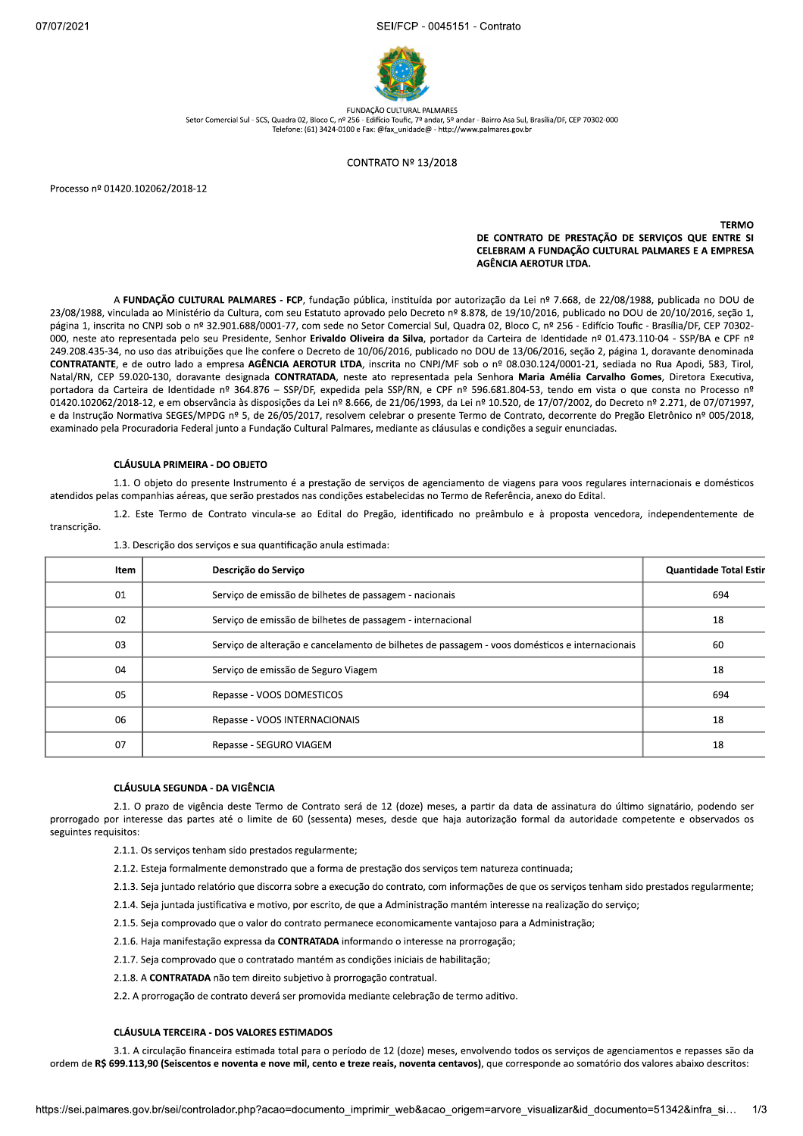$2021$ FCP - 0045151 - Contrato



FUNDAÇÃO CULTURAL PALMARES Setor Comercial Sul - SCS, Quadra 02, Bloco C, nº 256 - Edifício Toufic, 7º andar, 5º andar - Bairro Asa Sul, Brasília/DE, CEP 70302-000 addata 32, Bioco C, n= 256 - Edificio Touric, 7 - anuar, 3 - anuar - Barrio Asa Sar,<br>Telefone: (61) 3424-0100 e Fax: @fax\_unidade@ - http://www.palmares.gov.br

### CONTRATO Nº 13/2018

Processo nº 01420.102062/2018-12

#### kkkkkkkkkkkkkkkkkkkkkkkkkkkkkkkkkkkkkkkkkkkkkkkkkkkkkkkkkkkkkkkkkkkkkkkklmnop de contrato de prestação de serviços que entre si CELEBRAM A FUNDAÇÃO CULTURAL PALMARES E A EMPRESA AGÊNCIA AEROTUR LTDA.

A FUNDAÇÃO CULTURAL PALMARES - FCP, fundação pública, instituída por autorização da Lei nº 7.668, de 22/08/1988, publicada no DOU de 23/08/1988, vinculada ao Ministério da Cultura, com seu Estatuto aprovado pelo Decreto nº 8.878, de 19/10/2016, publicado no DOU de 20/10/2016, seção 1, página 1, inscrita no CNPJ sob o nº 32.901.688/0001-77, com sede no Setor Comercial Sul, Quadra 02, Bloco C, nº 256 - Edifício Toufic - Brasília/DF, CEP 70302-000, neste ato representada pelo seu Presidente, Senhor Erivaldo Oliveira da Silva, portador da Carteira de Identidade nº 01.473.110-04 - SSP/BA e CPF nº 249.208.435-34, no uso das atribuições que lhe confere o Decreto de 10/06/2016, publicado no DOU de 13/06/2016, seção 2, página 1, doravante denominada CONTRATANTE, e de outro lado a empresa AGÊNCIA AEROTUR LTDA, inscrita no CNPJ/MF sob o nº 08.030.124/0001-21, sediada no Rua Apodi, 583, Tirol, Natal/RN, CEP 59.020-130, doravante designada CONTRATADA, neste ato representada pela Senhora Maria Amélia Carvalho Gomes, Diretora Executiva, portadora da Carteira de Identidade nº 364.876 - SSP/DF, expedida pela SSP/RN, e CPF nº 596.681.804-53, tendo em vista o que consta no Processo nº 01420.102062/2018-12, e em observância às disposições da Lei nº 8.666, de 21/06/1993, da Lei nº 10.520, de 17/07/2002, do Decreto nº 2.271, de 07/071997, e da Instrução Normativa SEGES/MPDG nº 5, de 26/05/2017, resolvem celebrar o presente Termo de Contrato, decorrente do Pregão Eletrônico nº 005/2018, examinado pela Procuradoria Federal junto a Fundação Cultural Palmares, mediante as cláusulas e condições a seguir enunciadas.

## CLÁUSULA PRIMEIRA - DO OBJETO

1.1. O objeto do presente Instrumento é a prestação de serviços de agenciamento de viagens para voos regulares internacionais e domésticos atendidos pelas companhias aéreas, que serão prestados nas condições estabelecidas no Termo de Referência, anexo do Edital.

1.2. Este Termo de Contrato vincula-se ao Edital do Pregão, identificado no preâmbulo e à proposta vencedora, independentemente de transcrição.

| Item | Descrição do Serviço                                                                           | Quantidade Total Estin |
|------|------------------------------------------------------------------------------------------------|------------------------|
| 01   | Serviço de emissão de bilhetes de passagem - nacionais                                         | 694                    |
| 02   | Servico de emissão de bilhetes de passagem - internacional                                     | 18                     |
| 03   | Serviço de alteração e cancelamento de bilhetes de passagem - voos domésticos e internacionais | 60                     |
| 04   | Serviço de emissão de Seguro Viagem                                                            | 18                     |
| 05   | Repasse - VOOS DOMESTICOS                                                                      | 694                    |
| 06   | Repasse - VOOS INTERNACIONAIS                                                                  | 18                     |
| 07   | Repasse - SEGURO VIAGEM                                                                        | 18                     |

1.3. Descrição dos serviços e sua quantificação anula estimada:

#### CLÁUSULA SEGUNDA - DA VIGÊNCIA

2.1. O prazo de vigência deste Termo de Contrato será de 12 (doze) meses, a partir da data de assinatura do último signatário, podendo ser prorrogado por interesse das partes até o limite de 60 (sessenta) meses, desde que haja autorização formal da autoridade competente e observados os seguintes requisitos:

- 2.1.1. Os serviços tenham sido prestados regularmente;
- 2.1.2. Esteja formalmente demonstrado que a forma de prestação dos serviços tem natureza continuada;
- 2.1.3. Seja juntado relatório que discorra sobre a execução do contrato, com informações de que os serviços tenham sido prestados regularmente;
- 2.1.4. Seja juntada justificativa e motivo, por escrito, de que a Administração mantém interesse na realização do serviço;
- 2.1.5. Seja comprovado que o valor do contrato permanece economicamente vantajoso para a Administração;
- 2.1.6. Haja manifestação expressa da CONTRATADA informando o interesse na prorrogação;
- 2.1.7. Seja comprovado que o contratado mantém as condições iniciais de habilitação;
- 2.1.8. A CONTRATADA não tem direito subjetivo à prorrogação contratual.

2.2. A prorrogação de contrato deverá ser promovida mediante celebração de termo aditivo.

## CLÁLISLILA TERCEIRA - DOS VALORES ESTIMADOS

CEIRA - DOS VALORES ESTIMADOS<br>o financeira estimada total para o período de 12 (doze) meses, envolvendo todos os serviços de agenciamentos e repasses são da<br>centos e noventa e nove mil, cento e treze reais, noventa centavo 3.1. A circulação financeira estimada total para o período de 12 (doze) meses, envolvendo todos os serviços de agenciamentos e repasses são da ordem de R\$ 699.113,90 (Seiscentos e noventa e nove mil, cento e treze reais, noventa centavos), que corresponde ao somatório dos valores abaixo descritos: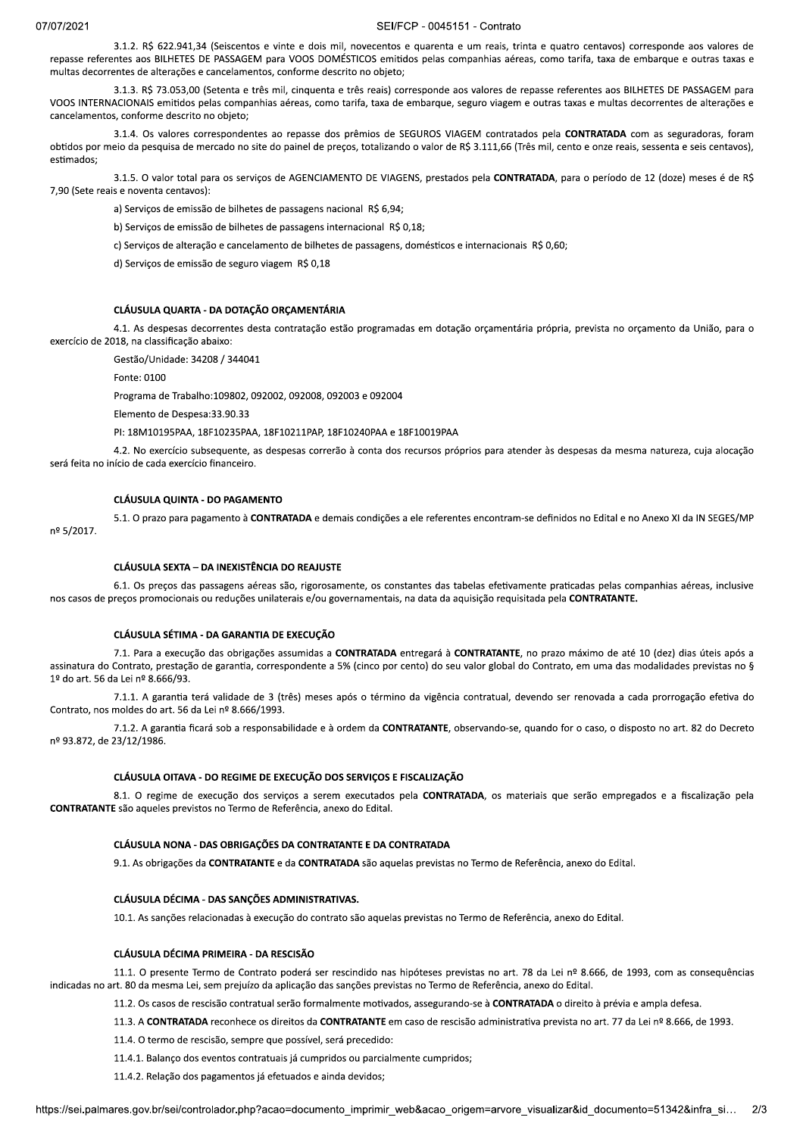3.1.2. R\$ 622.941.34 (Seiscentos e vinte e dois mil, novecentos e quarenta e um reais, trinta e quatro centavos) corresponde aos valores de repasse referentes aos BILHETES DE PASSAGEM para VOOS DOMÉSTICOS emitidos pelas companhias aéreas, como tarifa, taxa de embarque e outras taxas e multas decorrentes de alterações e cancelamentos, conforme descrito no objeto;

3.1.3. R\$ 73.053,00 (Setenta e três mil, cinquenta e três reais) corresponde aos valores de repasse referentes aos BILHETES DE PASSAGEM para VOOS INTERNACIONAIS emitidos pelas companhias aéreas, como tarifa, taxa de embarque, seguro viagem e outras taxas e multas decorrentes de alterações e cancelamentos, conforme descrito no obieto:

3.1.4. Os valores correspondentes ao repasse dos prêmios de SEGUROS VIAGEM contratados pela CONTRATADA com as seguradoras, foram obtidos por meio da pesquisa de mercado no site do painel de preços, totalizando o valor de R\$ 3.111,66 (Três mil, cento e onze reais, sessenta e seis centavos), estimados;

3.1.5. O valor total para os serviços de AGENCIAMENTO DE VIAGENS, prestados pela CONTRATADA, para o período de 12 (doze) meses é de R\$ 7,90 (Sete reais e noventa centavos):

a) Serviços de emissão de bilhetes de passagens nacional R\$ 6,94;

b) Serviços de emissão de bilhetes de passagens internacional R\$ 0,18;

c) Serviços de alteração e cancelamento de bilhetes de passagens, domésticos e internacionais R\$ 0,60;

d) Serviços de emissão de seguro viagem R\$ 0,18

#### CLÁUSULA QUARTA - DA DOTAÇÃO ORÇAMENTÁRIA

4.1. As despesas decorrentes desta contratação estão programadas em dotação orçamentária própria, prevista no orçamento da União, para o exercício de 2018, na classificação abaixo:

Gestão/Unidade: 34208 / 344041

Fonte: 0100

Programa de Trabalho:109802, 092002, 092008, 092003 e 092004

Elemento de Despesa: 33.90.33

PI: 18M10195PAA, 18F10235PAA, 18F10211PAP, 18F10240PAA e 18F10019PAA

4.2. No exercício subsequente, as despesas correrão à conta dos recursos próprios para atender às despesas da mesma natureza, cuja alocação será feita no início de cada exercício financeiro.

## **CLÁUSULA QUINTA - DO PAGAMENTO**

5.1. O prazo para pagamento à CONTRATADA e demais condições a ele referentes encontram-se definidos no Edital e no Anexo XI da IN SEGES/MP nº 5/2017.

## **CLÁUSULA SEXTA - DA INEXISTÊNCIA DO REAJUSTE**

6.1. Os preços das passagens aéreas são, rigorosamente, os constantes das tabelas efetivamente praticadas pelas companhias aéreas, inclusive nos casos de preços promocionais ou reduções unilaterais e/ou governamentais, na data da aquisição requisitada pela CONTRATANTE.

#### CLÁUSULA SÉTIMA - DA GARANTIA DE EXECUÇÃO

7.1. Para a execução das obrigações assumidas a CONTRATADA entregará à CONTRATANTE, no prazo máximo de até 10 (dez) dias úteis após a assinatura do Contrato, prestação de garantia, correspondente a 5% (cinco por cento) do seu valor global do Contrato, em uma das modalidades previstas no § 1º do art. 56 da Lei nº 8.666/93.

7.1.1. A garantia terá validade de 3 (três) meses após o término da vigência contratual, devendo ser renovada a cada prorrogação efetiva do Contrato, nos moldes do art. 56 da Lei nº 8.666/1993.

7.1.2. A garantia ficará sob a responsabilidade e à ordem da CONTRATANTE, observando-se, quando for o caso, o disposto no art. 82 do Decreto nº 93.872, de 23/12/1986.

## CLÁUSULA OITAVA - DO REGIME DE EXECUÇÃO DOS SERVIÇOS E FISCALIZAÇÃO

8.1. O regime de execução dos serviços a serem executados pela CONTRATADA, os materiais que serão empregados e a fiscalização pela CONTRATANTE são aqueles previstos no Termo de Referência, anexo do Edital.

#### CLÁUSULA NONA - DAS OBRIGAÇÕES DA CONTRATANTE E DA CONTRATADA

9.1. As obrigações da CONTRATANTE e da CONTRATADA são aquelas previstas no Termo de Referência, anexo do Edital.

# CLÁUSULA DÉCIMA - DAS SANCÕES ADMINISTRATIVAS.

10.1. As sanções relacionadas à execução do contrato são aquelas previstas no Termo de Referência, anexo do Edital.

#### CLÁUSULA DÉCIMA PRIMEIRA - DA RESCISÃO

11.1. O presente Termo de Contrato poderá ser rescindido nas hipóteses previstas no art. 78 da Lei nº 8.666, de 1993, com as consequências indicadas no art. 80 da mesma Lei, sem prejuízo da aplicação das sanções previstas no Termo de Referência, anexo do Edital.

11.2. Os casos de rescisão contratual serão formalmente motivados, assegurando-se à CONTRATADA o direito à prévia e ampla defesa.

11.3. A CONTRATADA reconhece os direitos da CONTRATANTE em caso de rescisão administrativa prevista no art. 77 da Lei nº 8.666, de 1993.

11.4. O termo de rescisão, sempre que possível, será precedido:

11.4.1. Balanco dos eventos contratuais já cumpridos ou parcialmente cumpridos:

11.4.2. Relação dos pagamentos já efetuados e ainda devidos;